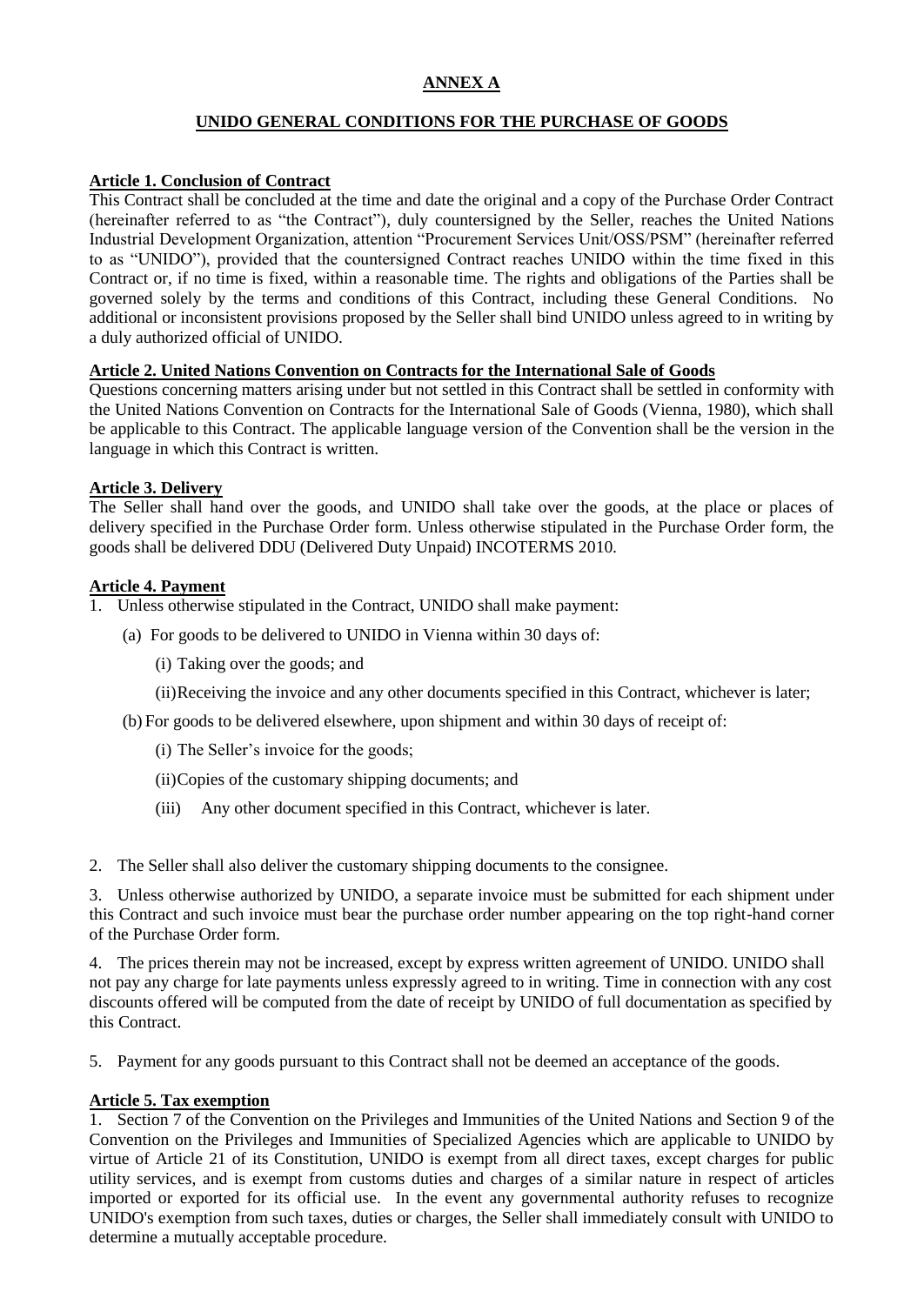# **ANNEX A**

## **UNIDO GENERAL CONDITIONS FOR THE PURCHASE OF GOODS**

## **Article 1. Conclusion of Contract**

This Contract shall be concluded at the time and date the original and a copy of the Purchase Order Contract (hereinafter referred to as "the Contract"), duly countersigned by the Seller, reaches the United Nations Industrial Development Organization, attention "Procurement Services Unit/OSS/PSM" (hereinafter referred to as "UNIDO"), provided that the countersigned Contract reaches UNIDO within the time fixed in this Contract or, if no time is fixed, within a reasonable time. The rights and obligations of the Parties shall be governed solely by the terms and conditions of this Contract, including these General Conditions. No additional or inconsistent provisions proposed by the Seller shall bind UNIDO unless agreed to in writing by a duly authorized official of UNIDO.

## **Article 2. United Nations Convention on Contracts for the International Sale of Goods**

Questions concerning matters arising under but not settled in this Contract shall be settled in conformity with the United Nations Convention on Contracts for the International Sale of Goods (Vienna, 1980), which shall be applicable to this Contract. The applicable language version of the Convention shall be the version in the language in which this Contract is written.

## **Article 3. Delivery**

The Seller shall hand over the goods, and UNIDO shall take over the goods, at the place or places of delivery specified in the Purchase Order form. Unless otherwise stipulated in the Purchase Order form, the goods shall be delivered DDU (Delivered Duty Unpaid) INCOTERMS 2010*.* 

## **Article 4. Payment**

- 1. Unless otherwise stipulated in the Contract, UNIDO shall make payment:
	- (a) For goods to be delivered to UNIDO in Vienna within 30 days of:
		- (i) Taking over the goods; and
		- (ii)Receiving the invoice and any other documents specified in this Contract, whichever is later;
	- (b) For goods to be delivered elsewhere, upon shipment and within 30 days of receipt of:
		- (i) The Seller's invoice for the goods;
		- (ii)Copies of the customary shipping documents; and
		- (iii) Any other document specified in this Contract, whichever is later.
- 2. The Seller shall also deliver the customary shipping documents to the consignee.

3. Unless otherwise authorized by UNIDO, a separate invoice must be submitted for each shipment under this Contract and such invoice must bear the purchase order number appearing on the top right-hand corner of the Purchase Order form.

4. The prices therein may not be increased, except by express written agreement of UNIDO. UNIDO shall not pay any charge for late payments unless expressly agreed to in writing. Time in connection with any cost discounts offered will be computed from the date of receipt by UNIDO of full documentation as specified by this Contract.

5. Payment for any goods pursuant to this Contract shall not be deemed an acceptance of the goods.

## **Article 5. Tax exemption**

1. Section 7 of the Convention on the Privileges and Immunities of the United Nations and Section 9 of the Convention on the Privileges and Immunities of Specialized Agencies which are applicable to UNIDO by virtue of Article 21 of its Constitution, UNIDO is exempt from all direct taxes, except charges for public utility services, and is exempt from customs duties and charges of a similar nature in respect of articles imported or exported for its official use. In the event any governmental authority refuses to recognize UNIDO's exemption from such taxes, duties or charges, the Seller shall immediately consult with UNIDO to determine a mutually acceptable procedure.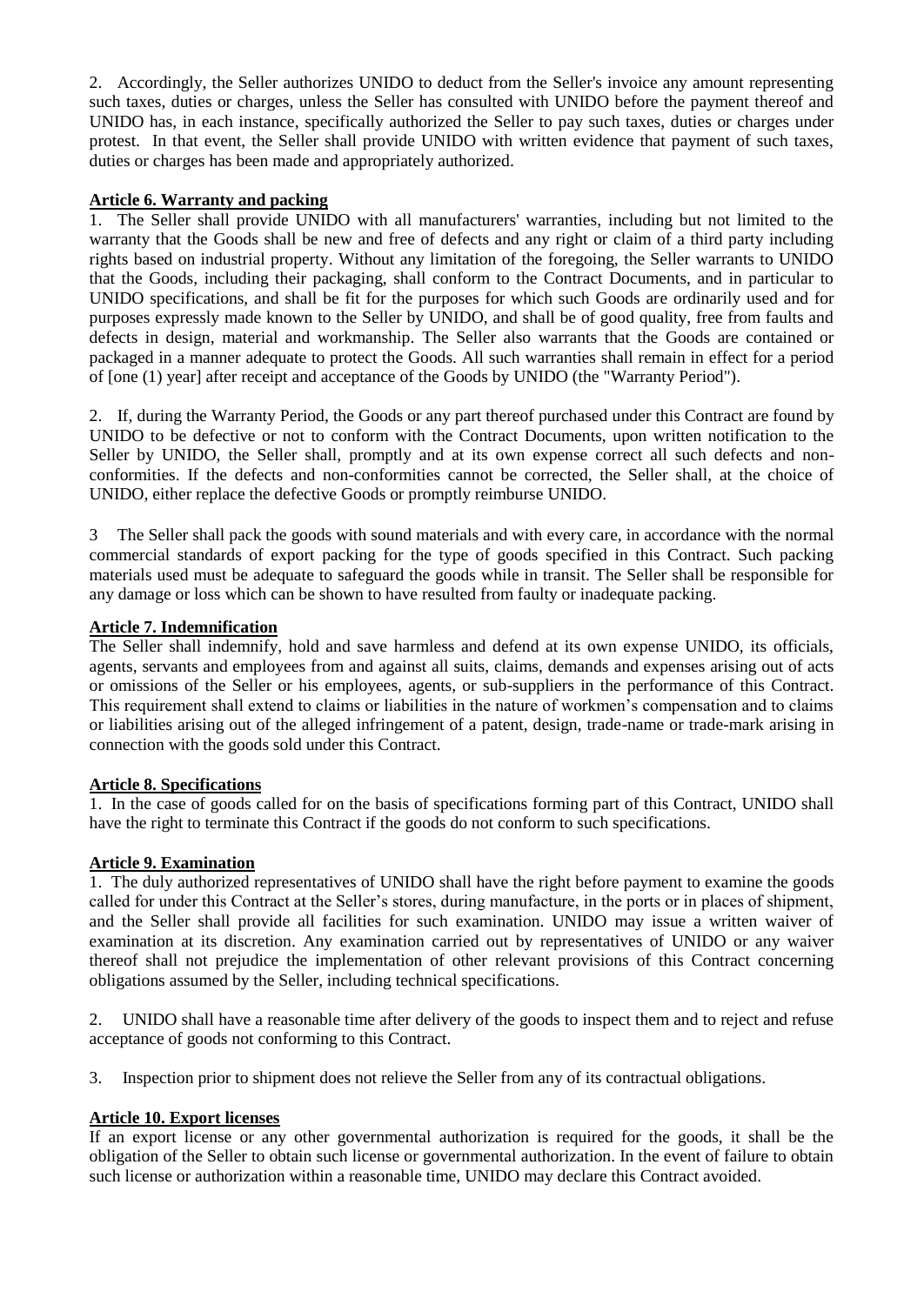2. Accordingly, the Seller authorizes UNIDO to deduct from the Seller's invoice any amount representing such taxes, duties or charges, unless the Seller has consulted with UNIDO before the payment thereof and UNIDO has, in each instance, specifically authorized the Seller to pay such taxes, duties or charges under protest. In that event, the Seller shall provide UNIDO with written evidence that payment of such taxes, duties or charges has been made and appropriately authorized.

## **Article 6. Warranty and packing**

1. The Seller shall provide UNIDO with all manufacturers' warranties, including but not limited to the warranty that the Goods shall be new and free of defects and any right or claim of a third party including rights based on industrial property. Without any limitation of the foregoing, the Seller warrants to UNIDO that the Goods, including their packaging, shall conform to the Contract Documents, and in particular to UNIDO specifications, and shall be fit for the purposes for which such Goods are ordinarily used and for purposes expressly made known to the Seller by UNIDO, and shall be of good quality, free from faults and defects in design, material and workmanship. The Seller also warrants that the Goods are contained or packaged in a manner adequate to protect the Goods. All such warranties shall remain in effect for a period of [one (1) year] after receipt and acceptance of the Goods by UNIDO (the "Warranty Period").

2. If, during the Warranty Period, the Goods or any part thereof purchased under this Contract are found by UNIDO to be defective or not to conform with the Contract Documents, upon written notification to the Seller by UNIDO, the Seller shall, promptly and at its own expense correct all such defects and nonconformities. If the defects and non-conformities cannot be corrected, the Seller shall, at the choice of UNIDO, either replace the defective Goods or promptly reimburse UNIDO.

3 The Seller shall pack the goods with sound materials and with every care, in accordance with the normal commercial standards of export packing for the type of goods specified in this Contract. Such packing materials used must be adequate to safeguard the goods while in transit. The Seller shall be responsible for any damage or loss which can be shown to have resulted from faulty or inadequate packing.

## **Article 7. Indemnification**

The Seller shall indemnify, hold and save harmless and defend at its own expense UNIDO, its officials, agents, servants and employees from and against all suits, claims, demands and expenses arising out of acts or omissions of the Seller or his employees, agents, or sub-suppliers in the performance of this Contract. This requirement shall extend to claims or liabilities in the nature of workmen's compensation and to claims or liabilities arising out of the alleged infringement of a patent, design, trade-name or trade-mark arising in connection with the goods sold under this Contract.

#### **Article 8. Specifications**

1. In the case of goods called for on the basis of specifications forming part of this Contract, UNIDO shall have the right to terminate this Contract if the goods do not conform to such specifications.

#### **Article 9. Examination**

1. The duly authorized representatives of UNIDO shall have the right before payment to examine the goods called for under this Contract at the Seller's stores, during manufacture, in the ports or in places of shipment, and the Seller shall provide all facilities for such examination. UNIDO may issue a written waiver of examination at its discretion. Any examination carried out by representatives of UNIDO or any waiver thereof shall not prejudice the implementation of other relevant provisions of this Contract concerning obligations assumed by the Seller, including technical specifications.

2. UNIDO shall have a reasonable time after delivery of the goods to inspect them and to reject and refuse acceptance of goods not conforming to this Contract.

3. Inspection prior to shipment does not relieve the Seller from any of its contractual obligations*.*

#### **Article 10. Export licenses**

If an export license or any other governmental authorization is required for the goods, it shall be the obligation of the Seller to obtain such license or governmental authorization. In the event of failure to obtain such license or authorization within a reasonable time, UNIDO may declare this Contract avoided.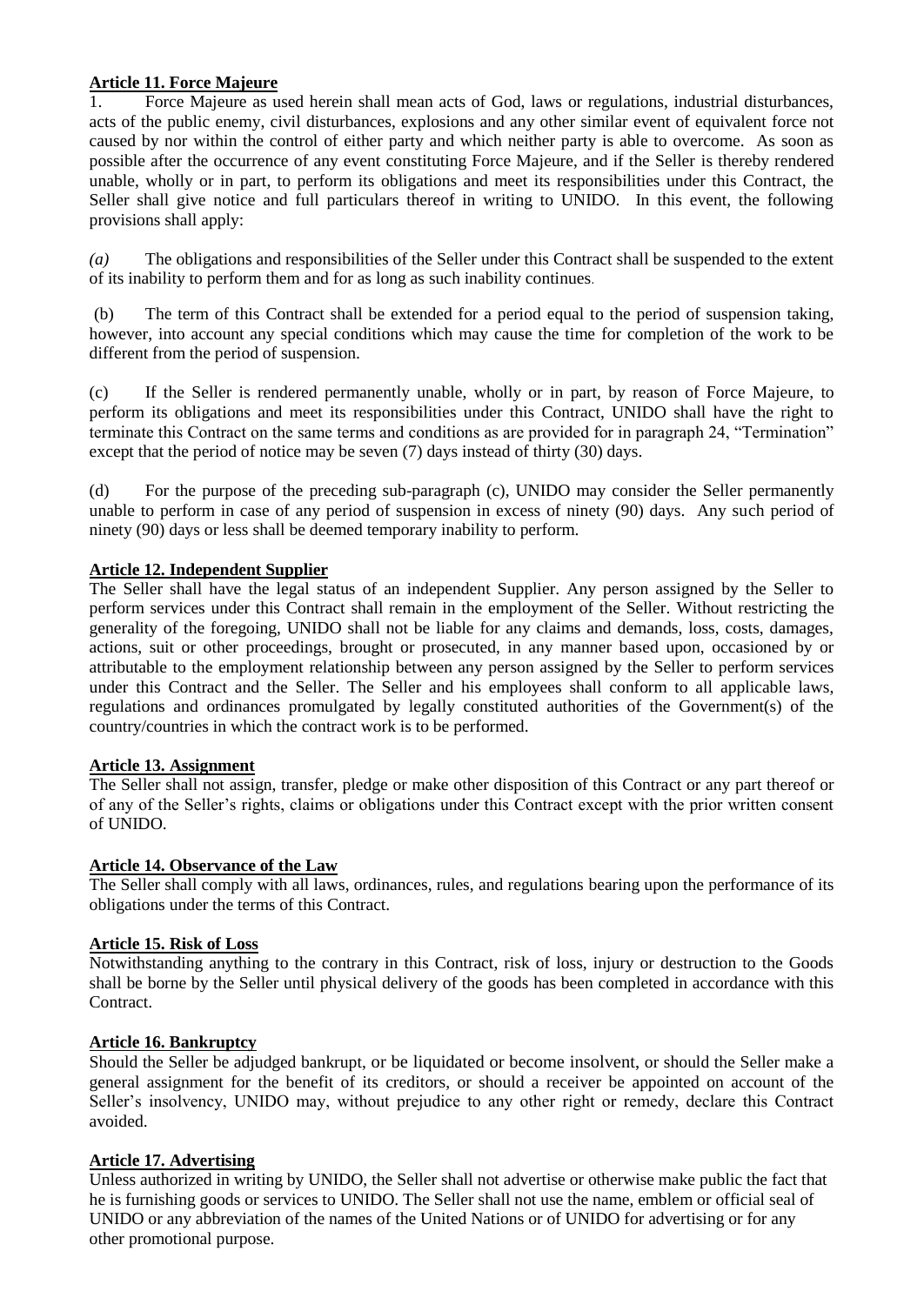## **Article 11. Force Majeure**

1. Force Majeure as used herein shall mean acts of God, laws or regulations, industrial disturbances, acts of the public enemy, civil disturbances, explosions and any other similar event of equivalent force not caused by nor within the control of either party and which neither party is able to overcome. As soon as possible after the occurrence of any event constituting Force Majeure, and if the Seller is thereby rendered unable, wholly or in part, to perform its obligations and meet its responsibilities under this Contract, the Seller shall give notice and full particulars thereof in writing to UNIDO. In this event, the following provisions shall apply:

*(a)* The obligations and responsibilities of the Seller under this Contract shall be suspended to the extent of its inability to perform them and for as long as such inability continues.

(b) The term of this Contract shall be extended for a period equal to the period of suspension taking, however, into account any special conditions which may cause the time for completion of the work to be different from the period of suspension.

(c) If the Seller is rendered permanently unable, wholly or in part, by reason of Force Majeure, to perform its obligations and meet its responsibilities under this Contract, UNIDO shall have the right to terminate this Contract on the same terms and conditions as are provided for in paragraph 24, "Termination" except that the period of notice may be seven (7) days instead of thirty (30) days.

(d) For the purpose of the preceding sub-paragraph (c), UNIDO may consider the Seller permanently unable to perform in case of any period of suspension in excess of ninety (90) days. Any such period of ninety (90) days or less shall be deemed temporary inability to perform.

## **Article 12. Independent Supplier**

The Seller shall have the legal status of an independent Supplier. Any person assigned by the Seller to perform services under this Contract shall remain in the employment of the Seller. Without restricting the generality of the foregoing, UNIDO shall not be liable for any claims and demands, loss, costs, damages, actions, suit or other proceedings, brought or prosecuted, in any manner based upon, occasioned by or attributable to the employment relationship between any person assigned by the Seller to perform services under this Contract and the Seller. The Seller and his employees shall conform to all applicable laws, regulations and ordinances promulgated by legally constituted authorities of the Government(s) of the country/countries in which the contract work is to be performed.

#### **Article 13. Assignment**

The Seller shall not assign, transfer, pledge or make other disposition of this Contract or any part thereof or of any of the Seller's rights, claims or obligations under this Contract except with the prior written consent of UNIDO.

## **Article 14. Observance of the Law**

The Seller shall comply with all laws, ordinances, rules, and regulations bearing upon the performance of its obligations under the terms of this Contract.

#### **Article 15. Risk of Loss**

Notwithstanding anything to the contrary in this Contract, risk of loss, injury or destruction to the Goods shall be borne by the Seller until physical delivery of the goods has been completed in accordance with this Contract.

#### **Article 16. Bankruptcy**

Should the Seller be adjudged bankrupt, or be liquidated or become insolvent, or should the Seller make a general assignment for the benefit of its creditors, or should a receiver be appointed on account of the Seller's insolvency, UNIDO may, without prejudice to any other right or remedy, declare this Contract avoided.

#### **Article 17. Advertising**

Unless authorized in writing by UNIDO, the Seller shall not advertise or otherwise make public the fact that he is furnishing goods or services to UNIDO. The Seller shall not use the name, emblem or official seal of UNIDO or any abbreviation of the names of the United Nations or of UNIDO for advertising or for any other promotional purpose.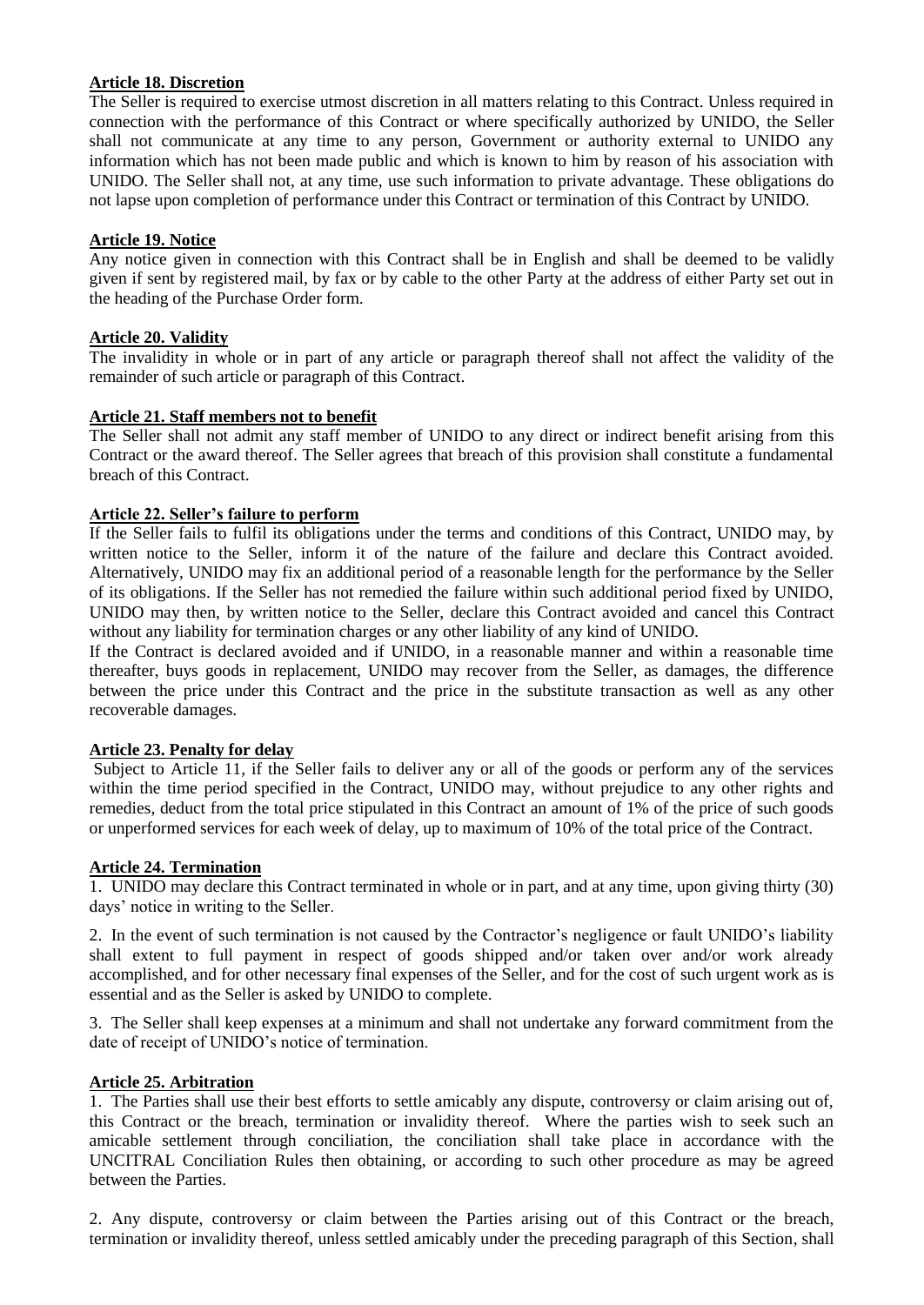## **Article 18. Discretion**

The Seller is required to exercise utmost discretion in all matters relating to this Contract. Unless required in connection with the performance of this Contract or where specifically authorized by UNIDO, the Seller shall not communicate at any time to any person, Government or authority external to UNIDO any information which has not been made public and which is known to him by reason of his association with UNIDO. The Seller shall not, at any time, use such information to private advantage. These obligations do not lapse upon completion of performance under this Contract or termination of this Contract by UNIDO.

#### **Article 19. Notice**

Any notice given in connection with this Contract shall be in English and shall be deemed to be validly given if sent by registered mail, by fax or by cable to the other Party at the address of either Party set out in the heading of the Purchase Order form.

## **Article 20. Validity**

The invalidity in whole or in part of any article or paragraph thereof shall not affect the validity of the remainder of such article or paragraph of this Contract.

#### **Article 21. Staff members not to benefit**

The Seller shall not admit any staff member of UNIDO to any direct or indirect benefit arising from this Contract or the award thereof. The Seller agrees that breach of this provision shall constitute a fundamental breach of this Contract.

## **Article 22. Seller's failure to perform**

If the Seller fails to fulfil its obligations under the terms and conditions of this Contract, UNIDO may, by written notice to the Seller, inform it of the nature of the failure and declare this Contract avoided. Alternatively, UNIDO may fix an additional period of a reasonable length for the performance by the Seller of its obligations. If the Seller has not remedied the failure within such additional period fixed by UNIDO, UNIDO may then, by written notice to the Seller, declare this Contract avoided and cancel this Contract without any liability for termination charges or any other liability of any kind of UNIDO.

If the Contract is declared avoided and if UNIDO, in a reasonable manner and within a reasonable time thereafter, buys goods in replacement, UNIDO may recover from the Seller, as damages, the difference between the price under this Contract and the price in the substitute transaction as well as any other recoverable damages.

#### **Article 23. Penalty for delay**

Subject to Article 11, if the Seller fails to deliver any or all of the goods or perform any of the services within the time period specified in the Contract, UNIDO may, without prejudice to any other rights and remedies, deduct from the total price stipulated in this Contract an amount of 1% of the price of such goods or unperformed services for each week of delay, up to maximum of 10% of the total price of the Contract.

#### **Article 24. Termination**

1. UNIDO may declare this Contract terminated in whole or in part, and at any time, upon giving thirty (30) days' notice in writing to the Seller.

2. In the event of such termination is not caused by the Contractor's negligence or fault UNIDO's liability shall extent to full payment in respect of goods shipped and/or taken over and/or work already accomplished, and for other necessary final expenses of the Seller, and for the cost of such urgent work as is essential and as the Seller is asked by UNIDO to complete.

3. The Seller shall keep expenses at a minimum and shall not undertake any forward commitment from the date of receipt of UNIDO's notice of termination.

#### **Article 25. Arbitration**

1. The Parties shall use their best efforts to settle amicably any dispute, controversy or claim arising out of, this Contract or the breach, termination or invalidity thereof. Where the parties wish to seek such an amicable settlement through conciliation, the conciliation shall take place in accordance with the UNCITRAL Conciliation Rules then obtaining, or according to such other procedure as may be agreed between the Parties.

2. Any dispute, controversy or claim between the Parties arising out of this Contract or the breach, termination or invalidity thereof, unless settled amicably under the preceding paragraph of this Section, shall